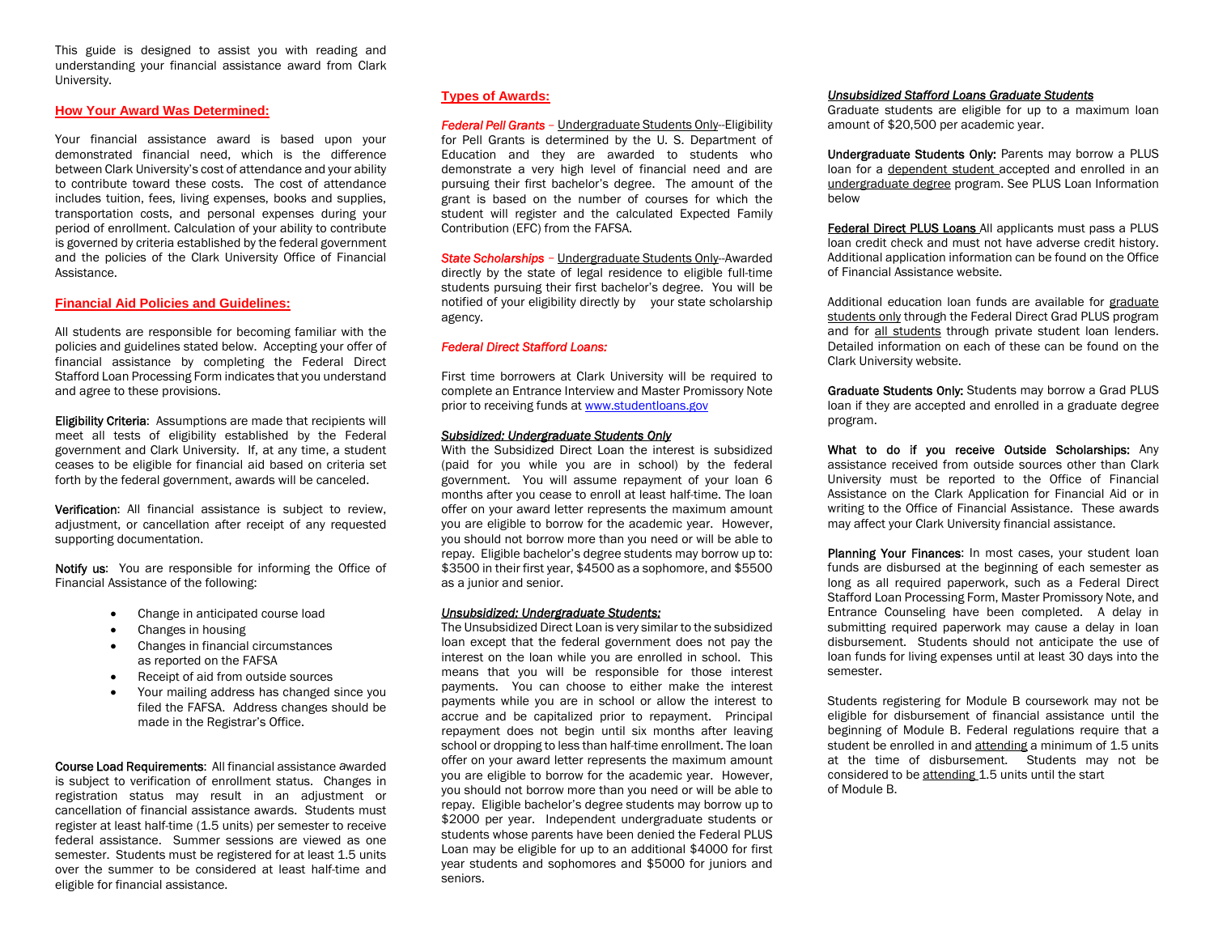This guide is designed to assist you with reading and understanding your financial assistance award from Clark University.

#### **How Your Award Was Determined:**

Your financial assistance award is based upon your demonstrated financial need, which is the difference between Clark University's cost of attendance and your ability to contribute toward these costs. The cost of attendance includes tuition, fees, living expenses, books and supplies, transportation costs, and personal expenses during your period of enrollment. Calculation of your ability to contribute is governed by criteria established by the federal government and the policies of the Clark University Office of Financial Assistance.

#### **Financial Aid Policies and Guidelines:**

All students are responsible for becoming familiar with the policies and guidelines stated below. Accepting your offer of financial assistance by completing the Federal Direct Stafford Loan Processing Form indicates that you understand and agree to these provisions.

Eligibility Criteria: Assumptions are made that recipients will meet all tests of eligibility established by the Federal government and Clark University. If, at any time, a student ceases to be eligible for financial aid based on criteria set forth by the federal government, awards will be canceled.

Verification: All financial assistance is subject to review, adjustment, or cancellation after receipt of any requested supporting documentation.

Notify us: You are responsible for informing the Office of Financial Assistance of the following:

- $\bullet$ Change in anticipated course load
- $\bullet$ Changes in housing
- . Changes in financial circumstances as reported on the FAFSA
- . Receipt of aid from outside sources
- . Your mailing address has changed since you filed the FAFSA. Address changes should be made in the Registrar's Office.

Course Load Requirements: All financial assistance *a*warded is subject to verification of enrollment status. Changes in registration status may result in an adjustment or cancellation of financial assistance awards. Students must register at least half-time (1.5 units) per semester to receive federal assistance. Summer sessions are viewed as one semester. Students must be registered for at least 1.5 units over the summer to be considered at least half-time and eligible for financial assistance.

## **Types of Awards:**

*Federal Pell Grants* – Undergraduate Students Only--Eligibility for Pell Grants is determined by the U. S. Department of Education and they are awarded to students who demonstrate a very high level of financial need and are pursuing their first bachelor's degree. The amount of the grant is based on the number of courses for which the student will register and the calculated Expected Family Contribution (EFC) from the FAFSA.

*State Scholarships* – Undergraduate Students Only--Awarded directly by the state of legal residence to eligible full-time students pursuing their first bachelor's degree. You will be notified of your eligibility directly by your state scholarship agency.

### *Federal Direct Stafford Loans:*

First time borrowers at Clark University will be required to complete an Entrance Interview and Master Promissory Note prior to receiving funds at <www.studentloans.gov>

#### *Subsidized: Undergraduate Students Only*

With the Subsidized Direct Loan the interest is subsidized (paid for you while you are in school) by the federal government. You will assume repayment of your loan 6 months after you cease to enroll at least half-time. The loan offer on your award letter represents the maximum amount you are eligible to borrow for the academic year. However, you should not borrow more than you need or will be able to repay. Eligible bachelor's degree students may borrow up to: \$3500 in their first year, \$4500 as a sophomore, and \$5500 as a junior and senior.

#### *Unsubsidized: Undergraduate Students:*

The Unsubsidized Direct Loan is very similar to the subsidized loan except that the federal government does not pay the interest on the loan while you are enrolled in school. This means that you will be responsible for those interest payments. You can choose to either make the interest payments while you are in school or allow the interest to accrue and be capitalized prior to repayment. Principal repayment does not begin until six months after leaving school or dropping to less than half-time enrollment. The loan offer on your award letter represents the maximum amount you are eligible to borrow for the academic year. However, you should not borrow more than you need or will be able to repay. Eligible bachelor's degree students may borrow up to \$2000 per year. Independent undergraduate students or students whose parents have been denied the Federal PLUS Loan may be eligible for up to an additional \$4000 for first year students and sophomores and \$5000 for juniors and seniors.

#### *Unsubsidized Stafford Loans Graduate Students*

Graduate students are eligible for up to a maximum loan amount of \$20,500 per academic year.

Undergraduate Students Only: Parents may borrow a PLUS loan for a dependent student accepted and enrolled in an undergraduate degree program. See PLUS Loan Information below

Federal Direct PLUS Loans All applicants must pass a PLUS loan credit check and must not have adverse credit history. Additional application information can be found on the Office of Financial Assistance website.

Additional education loan funds are available for graduate students only through the Federal Direct Grad PLUS program and for all students through private student loan lenders. Detailed information on each of these can be found on the Clark University website.

Graduate Students Only: Students may borrow a Grad PLUS loan if they are accepted and enrolled in a graduate degree program.

What to do if you receive Outside Scholarships: Any assistance received from outside sources other than Clark University must be reported to the Office of Financial Assistance on the Clark Application for Financial Aid or in writing to the Office of Financial Assistance. These awards may affect your Clark University financial assistance.

Planning Your Finances: In most cases, your student loan funds are disbursed at the beginning of each semester as long as all required paperwork, such as a Federal Direct Stafford Loan Processing Form, Master Promissory Note, and Entrance Counseling have been completed. A delay in submitting required paperwork may cause a delay in loan disbursement. Students should not anticipate the use of loan funds for living expenses until at least 30 days into the semester.

Students registering for Module B coursework may not be eligible for disbursement of financial assistance until the beginning of Module B. Federal regulations require that a student be enrolled in and <u>attending</u> a minimum of 1.5 units at the time of disbursement. Students may not be considered to be <u>attending</u> 1.5 units until the start of Module B.